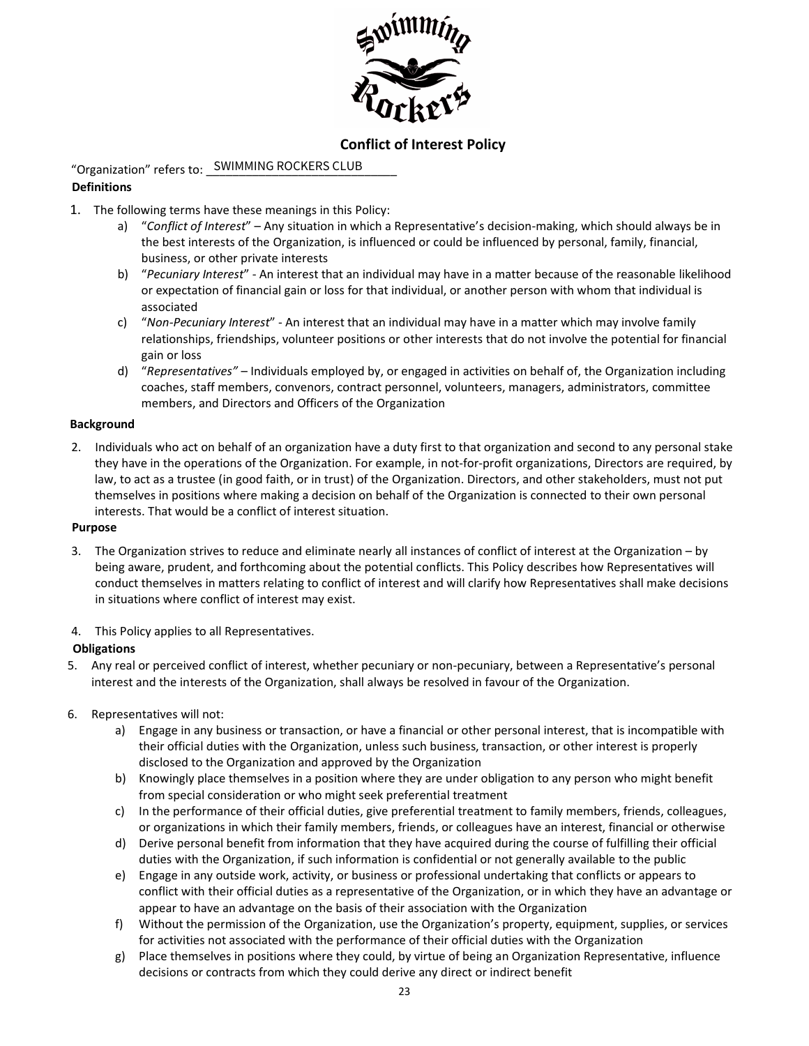

# **Conflict of Interest Policy**

"Organization" refers to: SWIMMING ROCKERS CLUB

## **Definitions**

- 1. The following terms have these meanings in this Policy:
	- a) "*Conflict of Interest*" Any situation in which a Representative's decision-making, which should always be in the best interests of the Organization, is influenced or could be influenced by personal, family, financial, business, or other private interests
	- b) "*Pecuniary Interest*" An interest that an individual may have in a matter because of the reasonable likelihood or expectation of financial gain or loss for that individual, or another person with whom that individual is associated
	- c) "*Non-Pecuniary Interest*" An interest that an individual may have in a matter which may involve family relationships, friendships, volunteer positions or other interests that do not involve the potential for financial gain or loss
	- d) "*Representatives"* Individuals employed by, or engaged in activities on behalf of, the Organization including coaches, staff members, convenors, contract personnel, volunteers, managers, administrators, committee members, and Directors and Officers of the Organization

## **Background**

2. Individuals who act on behalf of an organization have a duty first to that organization and second to any personal stake they have in the operations of the Organization. For example, in not-for-profit organizations, Directors are required, by law, to act as a trustee (in good faith, or in trust) of the Organization. Directors, and other stakeholders, must not put themselves in positions where making a decision on behalf of the Organization is connected to their own personal interests. That would be a conflict of interest situation.

#### **Purpose**

- 3. The Organization strives to reduce and eliminate nearly all instances of conflict of interest at the Organization by being aware, prudent, and forthcoming about the potential conflicts. This Policy describes how Representatives will conduct themselves in matters relating to conflict of interest and will clarify how Representatives shall make decisions in situations where conflict of interest may exist.
- 4. This Policy applies to all Representatives.

## **Obligations**

- 5. Any real or perceived conflict of interest, whether pecuniary or non-pecuniary, between a Representative's personal interest and the interests of the Organization, shall always be resolved in favour of the Organization.
- 6. Representatives will not:
	- a) Engage in any business or transaction, or have a financial or other personal interest, that is incompatible with their official duties with the Organization, unless such business, transaction, or other interest is properly disclosed to the Organization and approved by the Organization
	- b) Knowingly place themselves in a position where they are under obligation to any person who might benefit from special consideration or who might seek preferential treatment
	- c) In the performance of their official duties, give preferential treatment to family members, friends, colleagues, or organizations in which their family members, friends, or colleagues have an interest, financial or otherwise
	- d) Derive personal benefit from information that they have acquired during the course of fulfilling their official duties with the Organization, if such information is confidential or not generally available to the public
	- e) Engage in any outside work, activity, or business or professional undertaking that conflicts or appears to conflict with their official duties as a representative of the Organization, or in which they have an advantage or appear to have an advantage on the basis of their association with the Organization
	- f) Without the permission of the Organization, use the Organization's property, equipment, supplies, or services for activities not associated with the performance of their official duties with the Organization
	- g) Place themselves in positions where they could, by virtue of being an Organization Representative, influence decisions or contracts from which they could derive any direct or indirect benefit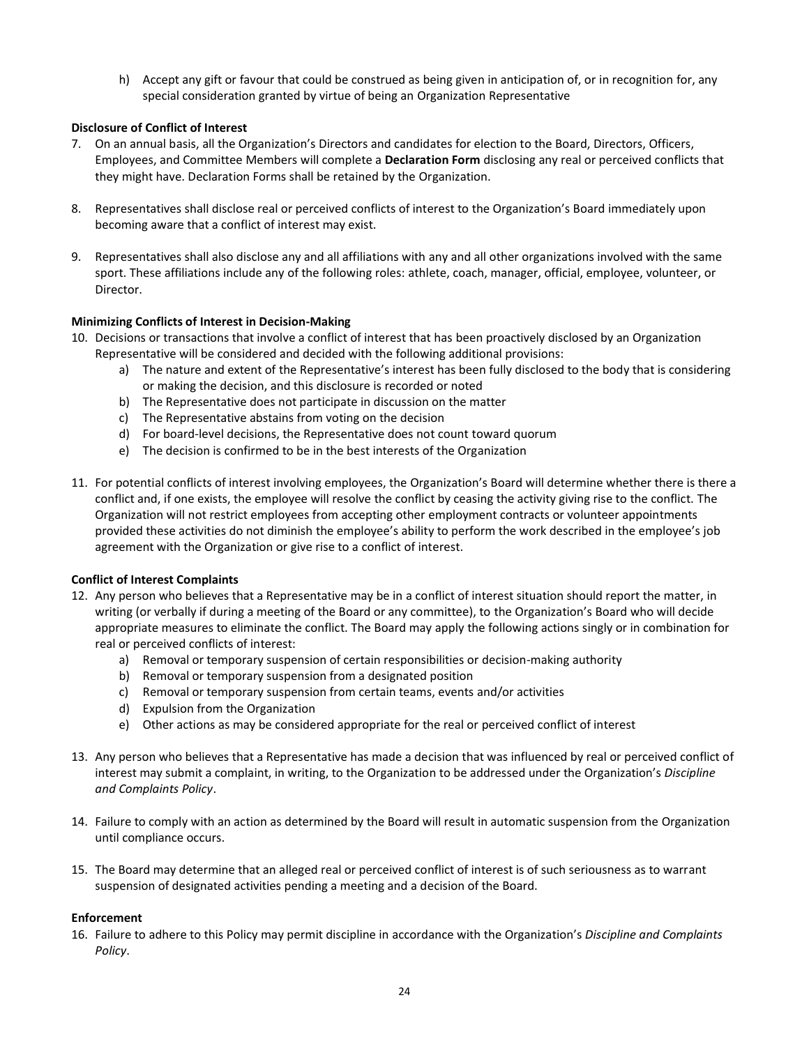h) Accept any gift or favour that could be construed as being given in anticipation of, or in recognition for, any special consideration granted by virtue of being an Organization Representative

## **Disclosure of Conflict of Interest**

- 7. On an annual basis, all the Organization's Directors and candidates for election to the Board, Directors, Officers, Employees, and Committee Members will complete a **Declaration Form** disclosing any real or perceived conflicts that they might have. Declaration Forms shall be retained by the Organization.
- 8. Representatives shall disclose real or perceived conflicts of interest to the Organization's Board immediately upon becoming aware that a conflict of interest may exist.
- 9. Representatives shall also disclose any and all affiliations with any and all other organizations involved with the same sport. These affiliations include any of the following roles: athlete, coach, manager, official, employee, volunteer, or Director.

## **Minimizing Conflicts of Interest in Decision-Making**

- 10. Decisions or transactions that involve a conflict of interest that has been proactively disclosed by an Organization Representative will be considered and decided with the following additional provisions:
	- a) The nature and extent of the Representative's interest has been fully disclosed to the body that is considering or making the decision, and this disclosure is recorded or noted
	- b) The Representative does not participate in discussion on the matter
	- c) The Representative abstains from voting on the decision
	- d) For board-level decisions, the Representative does not count toward quorum
	- e) The decision is confirmed to be in the best interests of the Organization
- 11. For potential conflicts of interest involving employees, the Organization's Board will determine whether there is there a conflict and, if one exists, the employee will resolve the conflict by ceasing the activity giving rise to the conflict. The Organization will not restrict employees from accepting other employment contracts or volunteer appointments provided these activities do not diminish the employee's ability to perform the work described in the employee's job agreement with the Organization or give rise to a conflict of interest.

#### **Conflict of Interest Complaints**

- 12. Any person who believes that a Representative may be in a conflict of interest situation should report the matter, in writing (or verbally if during a meeting of the Board or any committee), to the Organization's Board who will decide appropriate measures to eliminate the conflict. The Board may apply the following actions singly or in combination for real or perceived conflicts of interest:
	- a) Removal or temporary suspension of certain responsibilities or decision-making authority
	- b) Removal or temporary suspension from a designated position
	- c) Removal or temporary suspension from certain teams, events and/or activities
	- d) Expulsion from the Organization
	- e) Other actions as may be considered appropriate for the real or perceived conflict of interest
- 13. Any person who believes that a Representative has made a decision that was influenced by real or perceived conflict of interest may submit a complaint, in writing, to the Organization to be addressed under the Organization's *Discipline and Complaints Policy*.
- 14. Failure to comply with an action as determined by the Board will result in automatic suspension from the Organization until compliance occurs.
- 15. The Board may determine that an alleged real or perceived conflict of interest is of such seriousness as to warrant suspension of designated activities pending a meeting and a decision of the Board.

#### **Enforcement**

16. Failure to adhere to this Policy may permit discipline in accordance with the Organization's *Discipline and Complaints Policy*.